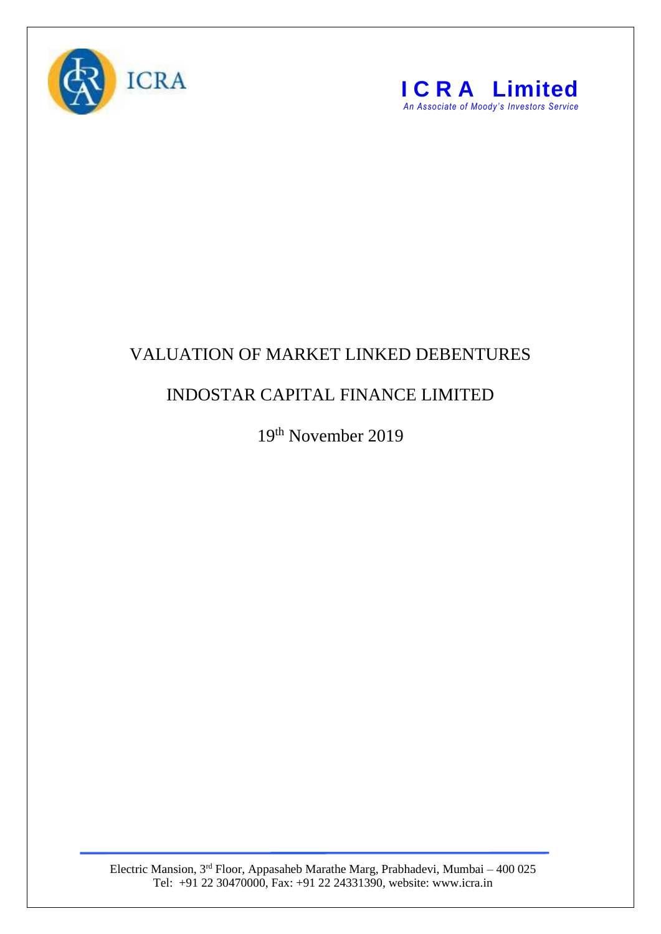



## VALUATION OF MARKET LINKED DEBENTURES

## INDOSTAR CAPITAL FINANCE LIMITED

19<sup>th</sup> November 2019

Electric Mansion, 3<sup>rd</sup> Floor, Appasaheb Marathe Marg, Prabhadevi, Mumbai – 400 025 Tel: +91 22 30470000, Fax: +91 22 24331390, website: www.icra.in